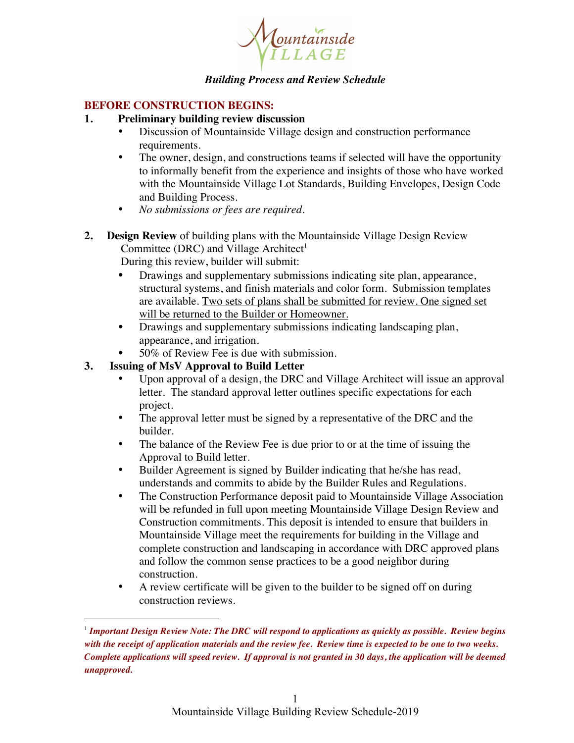

## *Building Process and Review Schedule*

## **BEFORE CONSTRUCTION BEGINS:**

- **1. Preliminary building review discussion**
	- Discussion of Mountainside Village design and construction performance requirements.
	- The owner, design, and constructions teams if selected will have the opportunity to informally benefit from the experience and insights of those who have worked with the Mountainside Village Lot Standards, Building Envelopes, Design Code and Building Process.
	- *No submissions or fees are required.*
- **2. Design Review** of building plans with the Mountainside Village Design Review Committee (DRC) and Village Architect<sup>1</sup>

During this review, builder will submit:

- Drawings and supplementary submissions indicating site plan, appearance, structural systems, and finish materials and color form. Submission templates are available. Two sets of plans shall be submitted for review. One signed set will be returned to the Builder or Homeowner.
- Drawings and supplementary submissions indicating landscaping plan, appearance, and irrigation.
- 50% of Review Fee is due with submission.

# **3. Issuing of MsV Approval to Build Letter**

 $\overline{a}$ 

- Upon approval of a design, the DRC and Village Architect will issue an approval letter. The standard approval letter outlines specific expectations for each project.
- The approval letter must be signed by a representative of the DRC and the builder.
- The balance of the Review Fee is due prior to or at the time of issuing the Approval to Build letter.
- Builder Agreement is signed by Builder indicating that he/she has read, understands and commits to abide by the Builder Rules and Regulations.
- The Construction Performance deposit paid to Mountainside Village Association will be refunded in full upon meeting Mountainside Village Design Review and Construction commitments. This deposit is intended to ensure that builders in Mountainside Village meet the requirements for building in the Village and complete construction and landscaping in accordance with DRC approved plans and follow the common sense practices to be a good neighbor during construction.
- A review certificate will be given to the builder to be signed off on during construction reviews.

<sup>1</sup> *Important Design Review Note: The DRC will respond to applications as quickly as possible. Review begins with the receipt of application materials and the review fee. Review time is expected to be one to two weeks. Complete applications will speed review. If approval is not granted in 30 days, the application will be deemed unapproved.*